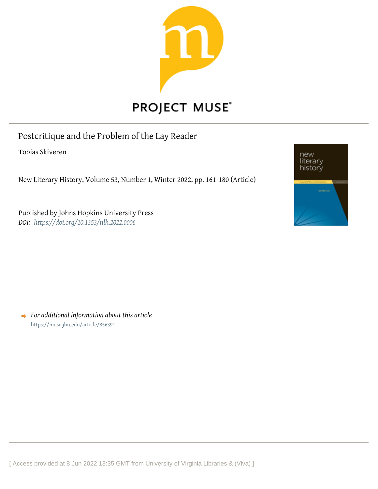

Postcritique and the Problem of the Lay Reader

Tobias Skiveren

New Literary History, Volume 53, Number 1, Winter 2022, pp. 161-180 (Article)

Published by Johns Hopkins University Press *DOI: <https://doi.org/10.1353/nlh.2022.0006>*



*For additional information about this article* <https://muse.jhu.edu/article/856391>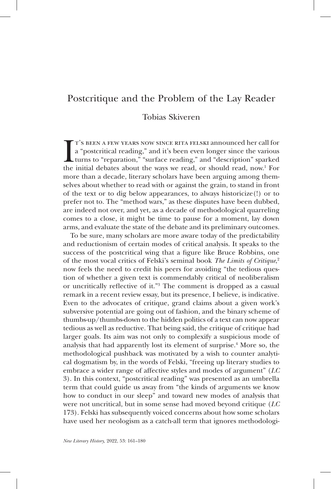# Postcritique and the Problem of the Lay Reader

## Tobias Skiveren

 $\prod_{\text{the}}$ t's been a few years now since rita felski announced her call for a "postcritical reading," and it's been even longer since the various turns to "reparation," "surface reading," and "description" sparked the initial debates about the ways we read, or should read, now.1 For more than a decade, literary scholars have been arguing among themselves about whether to read with or against the grain, to stand in front of the text or to dig below appearances, to always historicize(!) or to prefer not to. The "method wars," as these disputes have been dubbed, are indeed not over, and yet, as a decade of methodological quarreling comes to a close, it might be time to pause for a moment, lay down arms, and evaluate the state of the debate and its preliminary outcomes.

To be sure, many scholars are more aware today of the predictability and reductionism of certain modes of critical analysis. It speaks to the success of the postcritical wing that a figure like Bruce Robbins, one of the most vocal critics of Felski's seminal book *The Limits of Critique*, 2 now feels the need to credit his peers for avoiding "the tedious question of whether a given text is commendably critical of neoliberalism or uncritically reflective of it."3 The comment is dropped as a casual remark in a recent review essay, but its presence, I believe, is indicative. Even to the advocates of critique, grand claims about a given work's subversive potential are going out of fashion, and the binary scheme of thumbs-up/thumbs-down to the hidden politics of a text can now appear tedious as well as reductive. That being said, the critique of critique had larger goals. Its aim was not only to complexify a suspicious mode of analysis that had apparently lost its element of surprise.<sup>4</sup> More so, the methodological pushback was motivated by a wish to counter analytical dogmatism by, in the words of Felski, "freeing up literary studies to embrace a wider range of affective styles and modes of argument" (*LC* 3). In this context, "postcritical reading" was presented as an umbrella term that could guide us away from "the kinds of arguments we know how to conduct in our sleep" and toward new modes of analysis that were not uncritical, but in some sense had moved beyond critique (*LC* 173). Felski has subsequently voiced concerns about how some scholars have used her neologism as a catch-all term that ignores methodologi-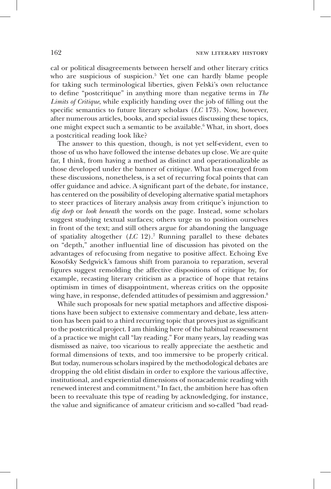cal or political disagreements between herself and other literary critics who are suspicious of suspicion.<sup>5</sup> Yet one can hardly blame people for taking such terminological liberties, given Felski's own reluctance to define "postcritique" in anything more than negative terms in *The Limits of Critique*, while explicitly handing over the job of filling out the specific semantics to future literary scholars (*LC* 173). Now, however, after numerous articles, books, and special issues discussing these topics, one might expect such a semantic to be available.<sup>6</sup> What, in short, does a postcritical reading look like?

The answer to this question, though, is not yet self-evident, even to those of us who have followed the intense debates up close. We are quite far, I think, from having a method as distinct and operationalizable as those developed under the banner of critique. What has emerged from these discussions, nonetheless, is a set of recurring focal points that can offer guidance and advice. A significant part of the debate, for instance, has centered on the possibility of developing alternative spatial metaphors to steer practices of literary analysis away from critique's injunction to *dig deep* or *look beneath* the words on the page. Instead, some scholars suggest studying textual surfaces; others urge us to position ourselves in front of the text; and still others argue for abandoning the language of spatiality altogether (*LC* 12).7 Running parallel to these debates on "depth," another influential line of discussion has pivoted on the advantages of refocusing from negative to positive affect. Echoing Eve Kosofsky Sedgwick's famous shift from paranoia to reparation, several figures suggest remolding the affective dispositions of critique by, for example, recasting literary criticism as a practice of hope that retains optimism in times of disappointment, whereas critics on the opposite wing have, in response, defended attitudes of pessimism and aggression.<sup>8</sup>

While such proposals for new spatial metaphors and affective dispositions have been subject to extensive commentary and debate, less attention has been paid to a third recurring topic that proves just as significant to the postcritical project. I am thinking here of the habitual reassessment of a practice we might call "lay reading." For many years, lay reading was dismissed as naive, too vicarious to really appreciate the aesthetic and formal dimensions of texts, and too immersive to be properly critical. But today, numerous scholars inspired by the methodological debates are dropping the old elitist disdain in order to explore the various affective, institutional, and experiential dimensions of nonacademic reading with renewed interest and commitment.9 In fact, the ambition here has often been to reevaluate this type of reading by acknowledging, for instance, the value and significance of amateur criticism and so-called "bad read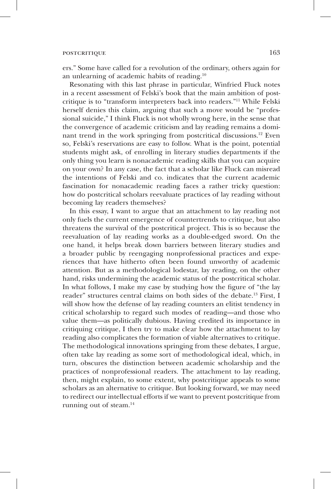ers." Some have called for a revolution of the ordinary, others again for an unlearning of academic habits of reading.10

Resonating with this last phrase in particular, Winfried Fluck notes in a recent assessment of Felski's book that the main ambition of postcritique is to "transform interpreters back into readers."11 While Felski herself denies this claim, arguing that such a move would be "professional suicide," I think Fluck is not wholly wrong here, in the sense that the convergence of academic criticism and lay reading remains a dominant trend in the work springing from postcritical discussions.<sup>12</sup> Even so, Felski's reservations are easy to follow. What is the point, potential students might ask, of enrolling in literary studies departments if the only thing you learn is nonacademic reading skills that you can acquire on your own? In any case, the fact that a scholar like Fluck can misread the intentions of Felski and co. indicates that the current academic fascination for nonacademic reading faces a rather tricky question: how do postcritical scholars reevaluate practices of lay reading without becoming lay readers themselves?

In this essay, I want to argue that an attachment to lay reading not only fuels the current emergence of countertrends to critique, but also threatens the survival of the postcritical project. This is so because the reevaluation of lay reading works as a double-edged sword. On the one hand, it helps break down barriers between literary studies and a broader public by reengaging nonprofessional practices and experiences that have hitherto often been found unworthy of academic attention. But as a methodological lodestar, lay reading, on the other hand, risks undermining the academic status of the postcritical scholar. In what follows, I make my case by studying how the figure of "the lay reader" structures central claims on both sides of the debate.13 First, I will show how the defense of lay reading counters an elitist tendency in critical scholarship to regard such modes of reading—and those who value them—as politically dubious. Having credited its importance in critiquing critique, I then try to make clear how the attachment to lay reading also complicates the formation of viable alternatives to critique. The methodological innovations springing from these debates, I argue, often take lay reading as some sort of methodological ideal, which, in turn, obscures the distinction between academic scholarship and the practices of nonprofessional readers. The attachment to lay reading, then, might explain, to some extent, why postcritique appeals to some scholars as an alternative to critique. But looking forward, we may need to redirect our intellectual efforts if we want to prevent postcritique from running out of steam.<sup>14</sup>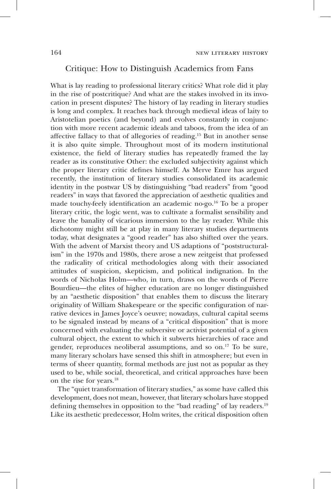#### Critique: How to Distinguish Academics from Fans

What is lay reading to professional literary critics? What role did it play in the rise of postcritique? And what are the stakes involved in its invocation in present disputes? The history of lay reading in literary studies is long and complex. It reaches back through medieval ideas of laity to Aristotelian poetics (and beyond) and evolves constantly in conjunction with more recent academic ideals and taboos, from the idea of an affective fallacy to that of allegories of reading.15 But in another sense it is also quite simple. Throughout most of its modern institutional existence, the field of literary studies has repeatedly framed the lay reader as its constitutive Other: the excluded subjectivity against which the proper literary critic defines himself. As Merve Emre has argued recently, the institution of literary studies consolidated its academic identity in the postwar US by distinguishing "bad readers" from "good readers" in ways that favored the appreciation of aesthetic qualities and made touchy-feely identification an academic no-go.16 To be a proper literary critic, the logic went, was to cultivate a formalist sensibility and leave the banality of vicarious immersion to the lay reader. While this dichotomy might still be at play in many literary studies departments today, what designates a "good reader" has also shifted over the years. With the advent of Marxist theory and US adaptions of "poststructuralism" in the 1970s and 1980s, there arose a new zeitgeist that professed the radicality of critical methodologies along with their associated attitudes of suspicion, skepticism, and political indignation. In the words of Nicholas Holm—who, in turn, draws on the words of Pierre Bourdieu—the elites of higher education are no longer distinguished by an "aesthetic disposition" that enables them to discuss the literary originality of William Shakespeare or the specific configuration of narrative devices in James Joyce's oeuvre; nowadays, cultural capital seems to be signaled instead by means of a "critical disposition" that is more concerned with evaluating the subversive or activist potential of a given cultural object, the extent to which it subverts hierarchies of race and gender, reproduces neoliberal assumptions, and so on.<sup>17</sup> To be sure, many literary scholars have sensed this shift in atmosphere; but even in terms of sheer quantity, formal methods are just not as popular as they used to be, while social, theoretical, and critical approaches have been on the rise for years.18

The "quiet transformation of literary studies," as some have called this development, does not mean, however, that literary scholars have stopped defining themselves in opposition to the "bad reading" of lay readers.19 Like its aesthetic predecessor, Holm writes, the critical disposition often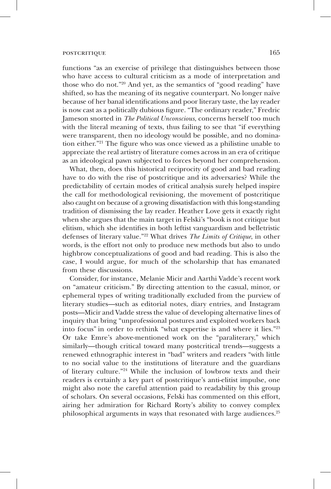functions "as an exercise of privilege that distinguishes between those who have access to cultural criticism as a mode of interpretation and those who do not."20 And yet, as the semantics of "good reading" have shifted, so has the meaning of its negative counterpart. No longer naïve because of her banal identifications and poor literary taste, the lay reader is now cast as a politically dubious figure. "The ordinary reader," Fredric Jameson snorted in *The Political Unconscious*, concerns herself too much with the literal meaning of texts, thus failing to see that "if everything were transparent, then no ideology would be possible, and no domination either."21 The figure who was once viewed as a philistine unable to appreciate the real artistry of literature comes across in an era of critique as an ideological pawn subjected to forces beyond her comprehension.

What, then, does this historical reciprocity of good and bad reading have to do with the rise of postcritique and its adversaries? While the predictability of certain modes of critical analysis surely helped inspire the call for methodological revisioning, the movement of postcritique also caught on because of a growing dissatisfaction with this long-standing tradition of dismissing the lay reader. Heather Love gets it exactly right when she argues that the main target in Felski's "book is not critique but elitism, which she identifies in both leftist vanguardism and belletristic defenses of literary value."22 What drives *The Limits of Critique*, in other words, is the effort not only to produce new methods but also to undo highbrow conceptualizations of good and bad reading. This is also the case, I would argue, for much of the scholarship that has emanated from these discussions.

Consider, for instance, Melanie Micir and Aarthi Vadde's recent work on "amateur criticism." By directing attention to the casual, minor, or ephemeral types of writing traditionally excluded from the purview of literary studies—such as editorial notes, diary entries, and Instagram posts—Micir and Vadde stress the value of developing alternative lines of inquiry that bring "unprofessional postures and exploited workers back into focus" in order to rethink "what expertise is and where it lies."23 Or take Emre's above-mentioned work on the "paraliterary," which similarly—though critical toward many postcritical trends—suggests a renewed ethnographic interest in "bad" writers and readers "with little to no social value to the institutions of literature and the guardians of literary culture."24 While the inclusion of lowbrow texts and their readers is certainly a key part of postcritique's anti-elitist impulse, one might also note the careful attention paid to readability by this group of scholars. On several occasions, Felski has commented on this effort, airing her admiration for Richard Rorty's ability to convey complex philosophical arguments in ways that resonated with large audiences.<sup>25</sup>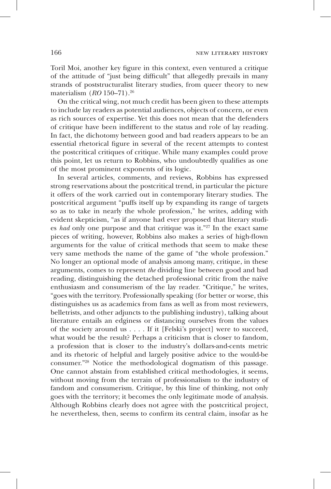Toril Moi, another key figure in this context, even ventured a critique of the attitude of "just being difficult" that allegedly prevails in many strands of poststructuralist literary studies, from queer theory to new materialism (*RO* 150–71).26

On the critical wing, not much credit has been given to these attempts to include lay readers as potential audiences, objects of concern, or even as rich sources of expertise. Yet this does not mean that the defenders of critique have been indifferent to the status and role of lay reading. In fact, the dichotomy between good and bad readers appears to be an essential rhetorical figure in several of the recent attempts to contest the postcritical critiques of critique. While many examples could prove this point, let us return to Robbins, who undoubtedly qualifies as one of the most prominent exponents of its logic.

In several articles, comments, and reviews, Robbins has expressed strong reservations about the postcritical trend, in particular the picture it offers of the work carried out in contemporary literary studies. The postcritical argument "puffs itself up by expanding its range of targets so as to take in nearly the whole profession," he writes, adding with evident skepticism, "as if anyone had ever proposed that literary studies *had* only one purpose and that critique was it."27 In the exact same pieces of writing, however, Robbins also makes a series of high-flown arguments for the value of critical methods that seem to make these very same methods the name of the game of "the whole profession." No longer an optional mode of analysis among many, critique, in these arguments, comes to represent *the* dividing line between good and bad reading, distinguishing the detached professional critic from the naïve enthusiasm and consumerism of the lay reader. "Critique," he writes, "goes with the territory. Professionally speaking (for better or worse, this distinguishes us as academics from fans as well as from most reviewers, belletrists, and other adjuncts to the publishing industry), talking about literature entails an edginess or distancing ourselves from the values of the society around us . . . . If it [Felski's project] were to succeed, what would be the result? Perhaps a criticism that is closer to fandom, a profession that is closer to the industry's dollars-and-cents metric and its rhetoric of helpful and largely positive advice to the would-be consumer."28 Notice the methodological dogmatism of this passage. One cannot abstain from established critical methodologies, it seems, without moving from the terrain of professionalism to the industry of fandom and consumerism. Critique, by this line of thinking, not only goes with the territory; it becomes the only legitimate mode of analysis. Although Robbins clearly does not agree with the postcritical project, he nevertheless, then, seems to confirm its central claim, insofar as he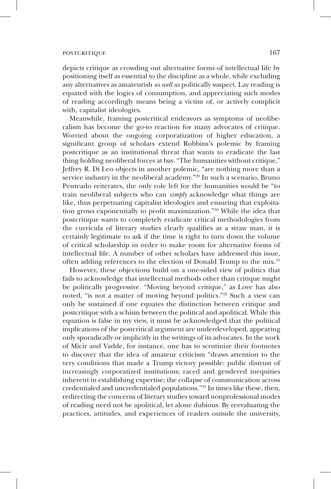depicts critique as crowding out alternative forms of intellectual life by positioning itself as essential to the discipline as a whole, while excluding any alternatives as amateurish *as well as* politically suspect. Lay reading is equated with the logics of consumption, and appreciating such modes of reading accordingly means being a victim of, or actively complicit with, capitalist ideologies.

Meanwhile, framing postcritical endeavors as symptoms of neoliberalism has become the go-to reaction for many advocates of critique. Worried about the ongoing corporatization of higher education, a significant group of scholars extend Robbins's polemic by framing postcritique as an institutional threat that wants to eradicate the last thing holding neoliberal forces at bay. "The humanities without critique," Jeffrey R. Di Leo objects in another polemic, "are nothing more than a service industry in the neoliberal academy."<sup>29</sup> In such a scenario, Bruno Penteado reiterates, the only role left for the humanities would be "to train neoliberal subjects who can *simply* acknowledge what things are like, thus perpetuating capitalist ideologies and ensuring that exploitation grows exponentially to profit maximization."30 While the idea that postcritique wants to completely eradicate critical methodologies from the curricula of literary studies clearly qualifies as a straw man, it is certainly legitimate to ask if the time is right to turn down the volume of critical scholarship in order to make room for alternative forms of intellectual life. A number of other scholars have addressed this issue, often adding references to the election of Donald Trump to the mix.<sup>31</sup>

However, these objections build on a one-sided view of politics that fails to acknowledge that intellectual methods other than critique might be politically progressive. "Moving beyond critique," as Love has also noted, "is not a matter of moving beyond politics."32 Such a view can only be sustained if one equates the distinction between critique and postcritique with a schism between the political and apolitical. While this equation is false in my view, it must be acknowledged that the political implications of the postcritical argument are underdeveloped, appearing only sporadically or implicitly in the writings of its advocates. In the work of Micir and Vadde, for instance, one has to scrutinize their footnotes to discover that the idea of amateur criticism "draws attention to the very conditions that made a Trump victory possible: public distrust of increasingly corporatized institutions; raced and gendered inequities inherent in establishing expertise; the collapse of communication across credentialed and uncredentialed populations."33 In times like these, then, redirecting the concerns of literary studies toward nonprofessional modes of reading need not be apolitical, let alone dubious. By reevaluating the practices, attitudes, and experiences of readers outside the university,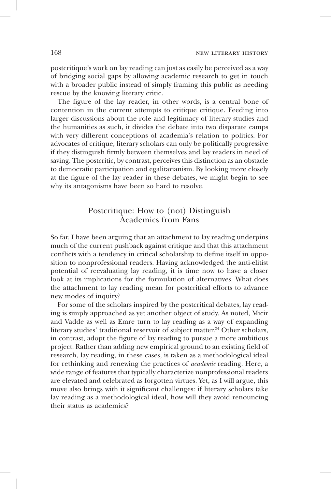postcritique's work on lay reading can just as easily be perceived as a way of bridging social gaps by allowing academic research to get in touch with a broader public instead of simply framing this public as needing rescue by the knowing literary critic.

The figure of the lay reader, in other words, is a central bone of contention in the current attempts to critique critique. Feeding into larger discussions about the role and legitimacy of literary studies and the humanities as such, it divides the debate into two disparate camps with very different conceptions of academia's relation to politics. For advocates of critique, literary scholars can only be politically progressive if they distinguish firmly between themselves and lay readers in need of saving. The postcritic, by contrast, perceives this distinction as an obstacle to democratic participation and egalitarianism. By looking more closely at the figure of the lay reader in these debates, we might begin to see why its antagonisms have been so hard to resolve.

## Postcritique: How to (not) Distinguish Academics from Fans

So far, I have been arguing that an attachment to lay reading underpins much of the current pushback against critique and that this attachment conflicts with a tendency in critical scholarship to define itself in opposition to nonprofessional readers. Having acknowledged the anti-elitist potential of reevaluating lay reading, it is time now to have a closer look at its implications for the formulation of alternatives. What does the attachment to lay reading mean for postcritical efforts to advance new modes of inquiry?

For some of the scholars inspired by the postcritical debates, lay reading is simply approached as yet another object of study. As noted, Micir and Vadde as well as Emre turn to lay reading as a way of expanding literary studies' traditional reservoir of subject matter.<sup>34</sup> Other scholars, in contrast, adopt the figure of lay reading to pursue a more ambitious project. Rather than adding new empirical ground to an existing field of research, lay reading, in these cases, is taken as a methodological ideal for rethinking and renewing the practices of *academic* reading. Here, a wide range of features that typically characterize nonprofessional readers are elevated and celebrated as forgotten virtues. Yet, as I will argue, this move also brings with it significant challenges: if literary scholars take lay reading as a methodological ideal, how will they avoid renouncing their status as academics?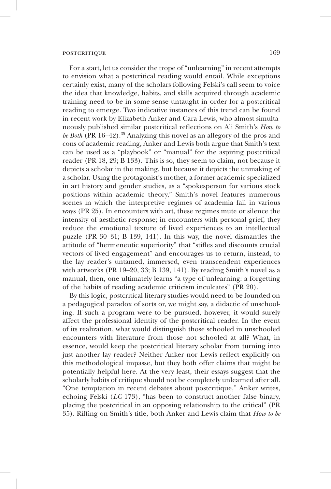For a start, let us consider the trope of "unlearning" in recent attempts to envision what a postcritical reading would entail. While exceptions certainly exist, many of the scholars following Felski's call seem to voice the idea that knowledge, habits, and skills acquired through academic training need to be in some sense untaught in order for a postcritical reading to emerge. Two indicative instances of this trend can be found in recent work by Elizabeth Anker and Cara Lewis, who almost simultaneously published similar postcritical reflections on Ali Smith's *How to be Both* (PR 16–42).35 Analyzing this novel as an allegory of the pros and cons of academic reading, Anker and Lewis both argue that Smith's text can be used as a "playbook" or "manual" for the aspiring postcritical reader (PR 18, 29; B 133). This is so, they seem to claim, not because it depicts a scholar in the making, but because it depicts the unmaking of a scholar. Using the protagonist's mother, a former academic specialized in art history and gender studies, as a "spokesperson for various stock positions within academic theory," Smith's novel features numerous scenes in which the interpretive regimes of academia fail in various ways (PR 25). In encounters with art, these regimes mute or silence the intensity of aesthetic response; in encounters with personal grief, they reduce the emotional texture of lived experiences to an intellectual puzzle (PR 30–31; B 139, 141). In this way, the novel dismantles the attitude of "hermeneutic superiority" that "stifles and discounts crucial vectors of lived engagement" and encourages us to return, instead, to the lay reader's untamed, immersed, even transcendent experiences with artworks (PR 19–20, 33; B 139, 141). By reading Smith's novel as a manual, then, one ultimately learns "a type of unlearning: a forgetting of the habits of reading academic criticism inculcates" (PR 20).

By this logic, postcritical literary studies would need to be founded on a pedagogical paradox of sorts or, we might say, a didactic of unschooling. If such a program were to be pursued, however, it would surely affect the professional identity of the postcritical reader. In the event of its realization, what would distinguish those schooled in unschooled encounters with literature from those not schooled at all? What, in essence, would keep the postcritical literary scholar from turning into just another lay reader? Neither Anker nor Lewis reflect explicitly on this methodological impasse, but they both offer claims that might be potentially helpful here. At the very least, their essays suggest that the scholarly habits of critique should not be completely unlearned after all. "One temptation in recent debates about postcritique," Anker writes, echoing Felski (*LC* 173), "has been to construct another false binary, placing the postcritical in an opposing relationship to the critical" (PR 35). Riffing on Smith's title, both Anker and Lewis claim that *How to be*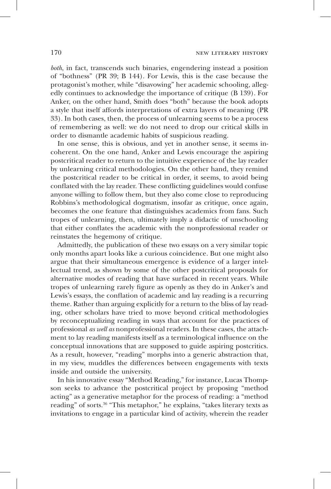*both*, in fact, transcends such binaries, engendering instead a position of "bothness" (PR 39; B 144). For Lewis, this is the case because the protagonist's mother, while "disavowing" her academic schooling, allegedly continues to acknowledge the importance of critique (B 139). For Anker, on the other hand, Smith does "both" because the book adopts a style that itself affords interpretations of extra layers of meaning (PR 33). In both cases, then, the process of unlearning seems to be a process of remembering as well: we do not need to drop our critical skills in order to dismantle academic habits of suspicious reading.

In one sense, this is obvious, and yet in another sense, it seems incoherent. On the one hand, Anker and Lewis encourage the aspiring postcritical reader to return to the intuitive experience of the lay reader by unlearning critical methodologies. On the other hand, they remind the postcritical reader to be critical in order, it seems, to avoid being conflated with the lay reader. These conflicting guidelines would confuse anyone willing to follow them, but they also come close to reproducing Robbins's methodological dogmatism, insofar as critique, once again, becomes the one feature that distinguishes academics from fans. Such tropes of unlearning, then, ultimately imply a didactic of unschooling that either conflates the academic with the nonprofessional reader or reinstates the hegemony of critique.

Admittedly, the publication of these two essays on a very similar topic only months apart looks like a curious coincidence. But one might also argue that their simultaneous emergence is evidence of a larger intellectual trend, as shown by some of the other postcritical proposals for alternative modes of reading that have surfaced in recent years. While tropes of unlearning rarely figure as openly as they do in Anker's and Lewis's essays, the conflation of academic and lay reading is a recurring theme. Rather than arguing explicitly for a return to the bliss of lay reading, other scholars have tried to move beyond critical methodologies by reconceptualizing reading in ways that account for the practices of professional *as well as* nonprofessional readers. In these cases, the attachment to lay reading manifests itself as a terminological influence on the conceptual innovations that are supposed to guide aspiring postcritics. As a result, however, "reading" morphs into a generic abstraction that, in my view, muddles the differences between engagements with texts inside and outside the university.

In his innovative essay "Method Reading," for instance, Lucas Thompson seeks to advance the postcritical project by proposing "method acting" as a generative metaphor for the process of reading: a "method reading" of sorts.36 "This metaphor," he explains, "takes literary texts as invitations to engage in a particular kind of activity, wherein the reader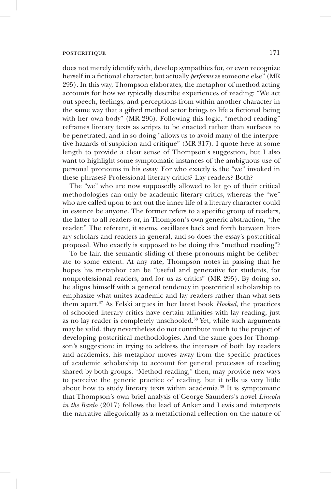does not merely identify with, develop sympathies for, or even recognize herself in a fictional character, but actually *performs* as someone else" (MR 295). In this way, Thompson elaborates, the metaphor of method acting accounts for how we typically describe experiences of reading: "We act out speech, feelings, and perceptions from within another character in the same way that a gifted method actor brings to life a fictional being with her own body" (MR 296). Following this logic, "method reading" reframes literary texts as scripts to be enacted rather than surfaces to be penetrated, and in so doing "allows us to avoid many of the interpretive hazards of suspicion and critique" (MR 317). I quote here at some length to provide a clear sense of Thompson's suggestion, but I also want to highlight some symptomatic instances of the ambiguous use of personal pronouns in his essay. For who exactly is the "we" invoked in these phrases? Professional literary critics? Lay readers? Both?

The "we" who are now supposedly allowed to let go of their critical methodologies can only be academic literary critics, whereas the "we" who are called upon to act out the inner life of a literary character could in essence be anyone. The former refers to a specific group of readers, the latter to all readers or, in Thompson's own generic abstraction, "the reader." The referent, it seems, oscillates back and forth between literary scholars and readers in general, and so does the essay's postcritical proposal. Who exactly is supposed to be doing this "method reading"?

To be fair, the semantic sliding of these pronouns might be deliberate to some extent. At any rate, Thompson notes in passing that he hopes his metaphor can be "useful and generative for students, for nonprofessional readers, and for us as critics" (MR 295). By doing so, he aligns himself with a general tendency in postcritical scholarship to emphasize what unites academic and lay readers rather than what sets them apart.37 As Felski argues in her latest book *Hooked*, the practices of schooled literary critics have certain affinities with lay reading, just as no lay reader is completely unschooled.<sup>38</sup> Yet, while such arguments may be valid, they nevertheless do not contribute much to the project of developing postcritical methodologies. And the same goes for Thompson's suggestion: in trying to address the interests of both lay readers and academics, his metaphor moves away from the specific practices of academic scholarship to account for general processes of reading shared by both groups. "Method reading," then, may provide new ways to perceive the generic practice of reading, but it tells us very little about how to study literary texts within academia.<sup>39</sup> It is symptomatic that Thompson's own brief analysis of George Saunders's novel *Lincoln in the Bardo* (2017) follows the lead of Anker and Lewis and interprets the narrative allegorically as a metafictional reflection on the nature of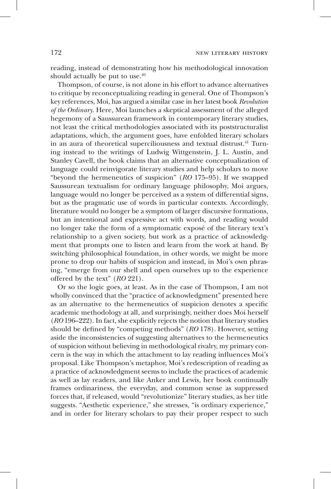reading, instead of demonstrating how his methodological innovation should actually be put to use. $40$ 

Thompson, of course, is not alone in his effort to advance alternatives to critique by reconceptualizing reading in general. One of Thompson's key references, Moi, has argued a similar case in her latest book *Revolution of the Ordinary*. Here*,* Moi launches a skeptical assessment of the alleged hegemony of a Saussurean framework in contemporary literary studies, not least the critical methodologies associated with its poststructuralist adaptations, which, the argument goes, have enfolded literary scholars in an aura of theoretical superciliousness and textual distrust.<sup>41</sup> Turning instead to the writings of Ludwig Wittgenstein, J. L. Austin, and Stanley Cavell, the book claims that an alternative conceptualization of language could reinvigorate literary studies and help scholars to move "beyond the hermeneutics of suspicion" (*RO* 175–95). If we swapped Saussurean textualism for ordinary language philosophy, Moi argues, language would no longer be perceived as a system of differential signs, but as the pragmatic use of words in particular contexts. Accordingly, literature would no longer be a symptom of larger discursive formations, but an intentional and expressive act with words, and reading would no longer take the form of a symptomatic exposé of the literary text's relationship to a given society, but work as a practice of acknowledgment that prompts one to listen and learn from the work at hand. By switching philosophical foundation, in other words, we might be more prone to drop our habits of suspicion and instead, in Moi's own phrasing, "emerge from our shell and open ourselves up to the experience offered by the text" (*RO* 221).

Or so the logic goes, at least. As in the case of Thompson, I am not wholly convinced that the "practice of acknowledgment" presented here as an alternative to the hermeneutics of suspicion denotes a specific academic methodology at all, and surprisingly, neither does Moi herself (*RO* 196–222). In fact, she explicitly rejects the notion that literary studies should be defined by "competing methods" (*RO* 178). However, setting aside the inconsistencies of suggesting alternatives to the hermeneutics of suspicion without believing in methodological rivalry, my primary concern is the way in which the attachment to lay reading influences Moi's proposal. Like Thompson's metaphor, Moi's redescription of reading as a practice of acknowledgment seems to include the practices of academic as well as lay readers, and like Anker and Lewis, her book continually frames ordinariness, the everyday, and common sense as suppressed forces that, if released, would "revolutionize" literary studies, as her title suggests. "Aesthetic experience," she stresses, "is ordinary experience," and in order for literary scholars to pay their proper respect to such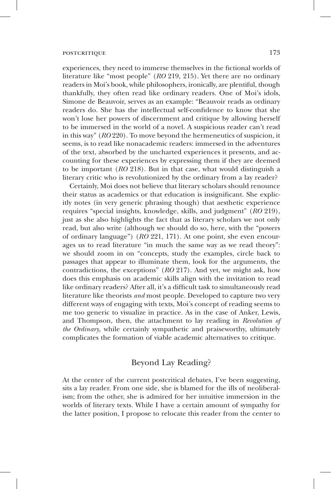experiences, they need to immerse themselves in the fictional worlds of literature like "most people" (*RO* 219, 215). Yet there are no ordinary readers in Moi's book, while philosophers, ironically, are plentiful, though thankfully, they often read like ordinary readers. One of Moi's idols, Simone de Beauvoir, serves as an example: "Beauvoir reads as ordinary readers do. She has the intellectual self-confidence to know that she won't lose her powers of discernment and critique by allowing herself to be immersed in the world of a novel. A suspicious reader can't read in this way" (*RO* 220). To move beyond the hermeneutics of suspicion, it seems, is to read like nonacademic readers: immersed in the adventures of the text, absorbed by the uncharted experiences it presents, and accounting for these experiences by expressing them if they are deemed to be important (*RO* 218). But in that case, what would distinguish a literary critic who is revolutionized by the ordinary from a lay reader?

Certainly, Moi does not believe that literary scholars should renounce their status as academics or that education is insignificant. She explicitly notes (in very generic phrasing though) that aesthetic experience requires "special insights, knowledge, skills, and judgment" (*RO* 219), just as she also highlights the fact that as literary scholars we not only read, but also write (although we should do so, here, with the "powers of ordinary language") (*RO* 221, 171). At one point, she even encourages us to read literature "in much the same way as we read theory": we should zoom in on "concepts, study the examples, circle back to passages that appear to illuminate them, look for the arguments, the contradictions, the exceptions" (*RO* 217). And yet, we might ask, how does this emphasis on academic skills align with the invitation to read like ordinary readers? After all, it's a difficult task to simultaneously read literature like theorists *and* most people. Developed to capture two very different ways of engaging with texts, Moi's concept of reading seems to me too generic to visualize in practice. As in the case of Anker, Lewis, and Thompson, then, the attachment to lay reading in *Revolution of the Ordinary*, while certainly sympathetic and praiseworthy, ultimately complicates the formation of viable academic alternatives to critique.

#### Beyond Lay Reading?

At the center of the current postcritical debates, I've been suggesting, sits a lay reader. From one side, she is blamed for the ills of neoliberalism; from the other, she is admired for her intuitive immersion in the worlds of literary texts. While I have a certain amount of sympathy for the latter position, I propose to relocate this reader from the center to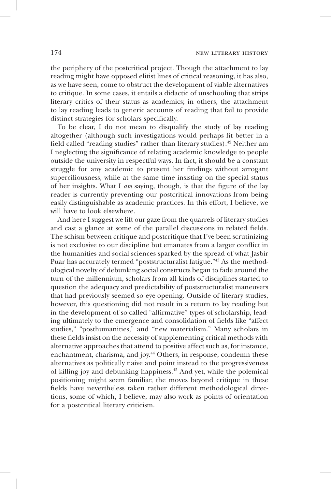the periphery of the postcritical project. Though the attachment to lay reading might have opposed elitist lines of critical reasoning, it has also, as we have seen, come to obstruct the development of viable alternatives to critique. In some cases, it entails a didactic of unschooling that strips literary critics of their status as academics; in others, the attachment to lay reading leads to generic accounts of reading that fail to provide distinct strategies for scholars specifically.

To be clear, I do not mean to disqualify the study of lay reading altogether (although such investigations would perhaps fit better in a field called "reading studies" rather than literary studies).<sup>42</sup> Neither am I neglecting the significance of relating academic knowledge to people outside the university in respectful ways. In fact, it should be a constant struggle for any academic to present her findings without arrogant superciliousness, while at the same time insisting on the special status of her insights. What I *am* saying, though, is that the figure of the lay reader is currently preventing our postcritical innovations from being easily distinguishable as academic practices. In this effort, I believe, we will have to look elsewhere.

And here I suggest we lift our gaze from the quarrels of literary studies and cast a glance at some of the parallel discussions in related fields. The schism between critique and postcritique that I've been scrutinizing is not exclusive to our discipline but emanates from a larger conflict in the humanities and social sciences sparked by the spread of what Jasbir Puar has accurately termed "poststructuralist fatigue."43 As the methodological novelty of debunking social constructs began to fade around the turn of the millennium, scholars from all kinds of disciplines started to question the adequacy and predictability of poststructuralist maneuvers that had previously seemed so eye-opening. Outside of literary studies, however, this questioning did not result in a return to lay reading but in the development of so-called "affirmative" types of scholarship, leading ultimately to the emergence and consolidation of fields like "affect studies," "posthumanities," and "new materialism." Many scholars in these fields insist on the necessity of supplementing critical methods with alternative approaches that attend to positive affect such as, for instance, enchantment, charisma, and joy.<sup>44</sup> Others, in response, condemn these alternatives as politically naive and point instead to the progressiveness of killing joy and debunking happiness.45 And yet, while the polemical positioning might seem familiar, the moves beyond critique in these fields have nevertheless taken rather different methodological directions, some of which, I believe, may also work as points of orientation for a postcritical literary criticism.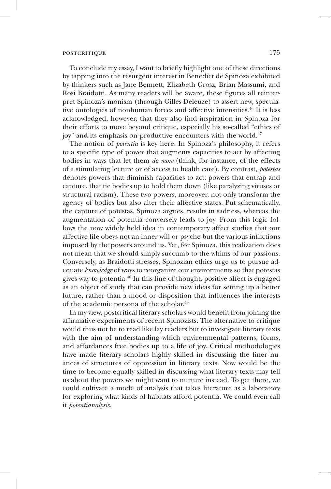#### postcritique  $175$

To conclude my essay, I want to briefly highlight one of these directions by tapping into the resurgent interest in Benedict de Spinoza exhibited by thinkers such as Jane Bennett, Elizabeth Grosz, Brian Massumi, and Rosi Braidotti. As many readers will be aware, these figures all reinterpret Spinoza's monism (through Gilles Deleuze) to assert new, speculative ontologies of nonhuman forces and affective intensities.<sup>46</sup> It is less acknowledged, however, that they also find inspiration in Spinoza for their efforts to move beyond critique, especially his so-called "ethics of joy" and its emphasis on productive encounters with the world.<sup>47</sup>

The notion of *potentia* is key here. In Spinoza's philosophy, it refers to a specific type of power that augments capacities to act by affecting bodies in ways that let them *do more* (think, for instance, of the effects of a stimulating lecture or of access to health care). By contrast, *potestas* denotes powers that diminish capacities to act: powers that entrap and capture, that tie bodies up to hold them down (like paralyzing viruses or structural racism). These two powers, moreover, not only transform the agency of bodies but also alter their affective states. Put schematically, the capture of potestas, Spinoza argues, results in sadness, whereas the augmentation of potentia conversely leads to joy. From this logic follows the now widely held idea in contemporary affect studies that our affective life obeys not an inner will or psyche but the various inflictions imposed by the powers around us. Yet, for Spinoza, this realization does not mean that we should simply succumb to the whims of our passions. Conversely, as Braidotti stresses, Spinozian ethics urge us to pursue adequate *knowledge* of ways to reorganize our environments so that potestas gives way to potentia.48 In this line of thought, positive affect is engaged as an object of study that can provide new ideas for setting up a better future, rather than a mood or disposition that influences the interests of the academic persona of the scholar.49

In my view, postcritical literary scholars would benefit from joining the affirmative experiments of recent Spinozists. The alternative to critique would thus not be to read like lay readers but to investigate literary texts with the aim of understanding which environmental patterns, forms, and affordances free bodies up to a life of joy. Critical methodologies have made literary scholars highly skilled in discussing the finer nuances of structures of oppression in literary texts. Now would be the time to become equally skilled in discussing what literary texts may tell us about the powers we might want to nurture instead. To get there, we could cultivate a mode of analysis that takes literature as a laboratory for exploring what kinds of habitats afford potentia. We could even call it *potentianalysis*.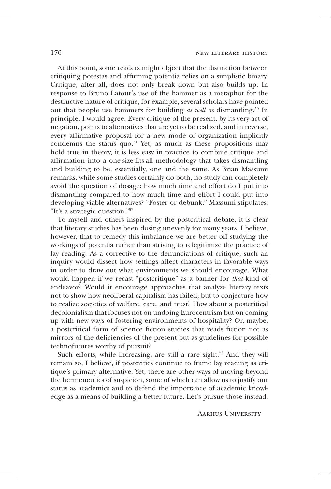At this point, some readers might object that the distinction between critiquing potestas and affirming potentia relies on a simplistic binary. Critique, after all, does not only break down but also builds up. In response to Bruno Latour's use of the hammer as a metaphor for the destructive nature of critique, for example, several scholars have pointed out that people use hammers for building *as well as* dismantling.50 In principle, I would agree. Every critique of the present, by its very act of negation, points to alternatives that are yet to be realized, and in reverse, every affirmative proposal for a new mode of organization implicitly condemns the status quo.<sup>51</sup> Yet, as much as these propositions may hold true in theory, it is less easy in practice to combine critique and affirmation into a one-size-fits-all methodology that takes dismantling and building to be, essentially, one and the same. As Brian Massumi remarks, while some studies certainly do both, no study can completely avoid the question of dosage: how much time and effort do I put into dismantling compared to how much time and effort I could put into developing viable alternatives? "Foster or debunk," Massumi stipulates: "It's a strategic question."52

To myself and others inspired by the postcritical debate, it is clear that literary studies has been dosing unevenly for many years. I believe, however, that to remedy this imbalance we are better off studying the workings of potentia rather than striving to relegitimize the practice of lay reading. As a corrective to the denunciations of critique, such an inquiry would dissect how settings affect characters in favorable ways in order to draw out what environments we should encourage. What would happen if we recast "postcritique" as a banner for *that* kind of endeavor? Would it encourage approaches that analyze literary texts not to show how neoliberal capitalism has failed, but to conjecture how to realize societies of welfare, care, and trust? How about a postcritical decolonialism that focuses not on undoing Eurocentrism but on coming up with new ways of fostering environments of hospitality? Or, maybe, a postcritical form of science fiction studies that reads fiction not as mirrors of the deficiencies of the present but as guidelines for possible technofutures worthy of pursuit?

Such efforts, while increasing, are still a rare sight.<sup>53</sup> And they will remain so, I believe, if postcritics continue to frame lay reading as critique's primary alternative. Yet, there are other ways of moving beyond the hermeneutics of suspicion, some of which can allow us to justify our status as academics and to defend the importance of academic knowledge as a means of building a better future. Let's pursue those instead.

Aarhus University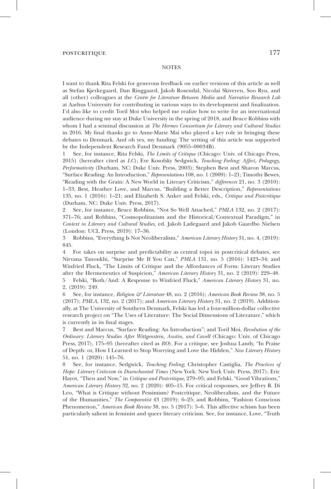I want to thank Rita Felski for generous feedback on earlier versions of this article as well as Stefan Kjerkegaard, Dan Ringgaard, Jakob Rosendal, Nicolai Skiveren, Soo Ryu, and all (other) colleagues at the *Centre for Literature Between Media* and *Narrative Research Lab* at Aarhus University for contributing in various ways to its development and finalization. I'd also like to credit Toril Moi who helped me realize how to write for an international audience during my stay at Duke University in the spring of 2018, and Bruce Robbins with whom I had a seminal discussion at *The Hermes Consortium for Literary and Cultural Studies* in 2016. My final thanks go to Anne-Marie Mai who played a key role in bringing these debates to Denmark. And oh yes, my funding: The writing of this article was supported by the Independent Research Fund Denmark (9055–00034B).

1 See, for instance, Rita Felski, *The Limits of Critique* (Chicago: Univ. of Chicago Press, 2015) (hereafter cited as *LC*); Eve Kosofsky Sedgwick, *Touching Feeling: Affect, Pedagogy, Performativity* (Durham, NC: Duke Univ. Press, 2003); Stephen Best and Sharon Marcus, "Surface Reading: An Introduction," *Representations* 108, no. 1 (2009): 1–21; Timothy Bewes, "Reading with the Grain: A New World in Literary Criticism," *differences* 21, no. 3 (2010): 1–33; Best, Heather Love, and Marcus, "Building a Better Description," *Representations* 135, no. 1 (2016): 1–21; and Elizabeth S. Anker and Felski, eds., *Critique and Postcritique* (Durham, NC: Duke Univ. Press, 2017).

2 See, for instance, Bruce Robbins, "Not So Well Attached," *PMLA* 132, no. 2 (2017): 371–76; and Robbins, "Cosmopolitanism and the Historical/Contextual Paradigm," in *Context in Literary and Cultural Studies*, ed. Jakob Ladegaard and Jakob Gaardbo Nielsen (London: UCL Press, 2019): 17–36.

3 Robbins, "Everything Is Not Neoliberalism," *American Literary History* 31, no. 4, (2019): 845.

4 For takes on surprise and predictability as central topoi in postcritical debates, see Nirvana Tanoukhi, "Surprise Me If You Can," *PMLA* 131, no. 5 (2016): 1423–34; and Winfried Fluck, "The Limits of Critique and the Affordances of Form: Literary Studies after the Hermeneutics of Suspicion," *American Literary History* 31, no. 2 (2019): 229–48. 5 Felski, "Both/And: A Response to Winfried Fluck," *American Literary History* 31, no. 2, (2019): 249.

6 See, for instance, *Religion & Literature* 48, no. 2 (2016); *American Book Review* 38, no. 5 (2017); *PMLA*, 132, no. 2 (2017); and *American Literary History* 31, no. 2 (2019). Additionally, at The University of Southern Denmark, Felski has led a four-million-dollar collective research project on "The Uses of Literature: The Social Dimensions of Literature," which is currently in its final stages.

7 Best and Marcus, "Surface Reading: An Introduction"; and Toril Moi, *Revolution of the Ordinary: Literary Studies After Wittgenstein, Austin, and Cavell* (Chicago: Univ. of Chicago Press, 2017), 175–95 (hereafter cited as *RO*). For a critique, see Joshua Landy, "In Praise of Depth: or, How I Learned to Stop Worrying and Love the Hidden," *New Literary History* 51, no. 1 (2020): 145–76.

8 See, for instance, Sedgwick, *Touching Feeling*; Christopher Castiglia, *The Practices of Hope: Literary Criticism in Disenchanted Times* (New York: New York Univ. Press, 2017); Eric Hayot, "Then and Now," in *Critique and Postcritique*, 279–95; and Felski, "Good Vibrations," *American Literary History* 32, no. 2 (2020): 405–15. For critical responses, see Jeffrey R. Di Leo, "What is Critique without Pessimism? Postcritique, Neoliberalism, and the Future of the Humanities," *The Comparatist* 43 (2019): 6–25; and Robbins, "Fashion Conscious Phenomenon," *American Book Review* 38, no. 5 (2017): 5–6. This affective schism has been particularly salient in feminist and queer literary criticism. See, for instance, Love, "Truth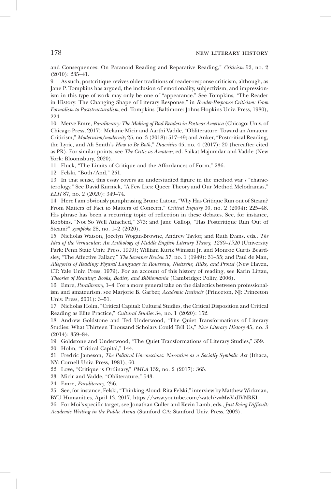and Consequences: On Paranoid Reading and Reparative Reading," *Criticism* 52, no. 2 (2010): 235–41.

9 As such, postcritique revives older traditions of reader-response criticism, although, as Jane P. Tompkins has argued, the inclusion of emotionality, subjectivism, and impressionism in this type of work may only be one of "appearance." See Tompkins, "The Reader in History: The Changing Shape of Literary Response," in *Reader-Response Criticism: From Formalism to Poststructuralism*, ed. Tompkins (Baltimore: Johns Hopkins Univ. Press, 1980), 224.

10 Merve Emre, *Paraliterary: The Making of Bad Readers in Postwar America* (Chicago: Univ. of Chicago Press, 2017); Melanie Micir and Aarthi Vadde, "Obliterature: Toward an Amateur Criticism," *Modernism/modernity* 25, no. 3 (2018): 517–49; and Anker, "Postcritical Reading, the Lyric, and Ali Smith's *How to Be Both*," *Diacritics* 45, no. 4 (2017): 20 (hereafter cited as PR). For similar points, see *The Critic as Amateur,* ed. Saikat Majumdar and Vadde (New York: Bloomsbury, 2020).

11 Fluck, "The Limits of Critique and the Affordances of Form," 236.

12 Felski, "Both/And," 251.

13 In that sense, this essay covers an understudied figure in the method war's "characterology." See David Kurnick, "A Few Lies: Queer Theory and Our Method Melodramas," *ELH* 87, no. 2 (2020): 349–74.

14 Here I am obviously paraphrasing Bruno Latour, "Why Has Critique Run out of Steam? From Matters of Fact to Matters of Concern," *Critical Inquiry* 30, no. 2 (2004): 225–48. His phrase has been a recurring topic of reflection in these debates. See, for instance, Robbins, "Not So Well Attached," 373; and Jane Gallop, "Has Postcritique Run Out of Steam?" *symplokˉe* 28, no. 1–2 (2020).

15 Nicholas Watson, Jocelyn Wogan-Browne, Andrew Taylor, and Ruth Evans, eds., *The Idea of the Vernacular: An Anthology of Middle English Literary Theory, 1280–1520* (University Park: Penn State Univ. Press, 1999); William Kurtz Wimsatt Jr. and Monroe Curtis Beardsley, "The Affective Fallacy," *The Sewanee Review* 57, no. 1 (1949): 31–55; and Paul de Man, *Allegories of Reading: Figural Language in Rousseau, Nietzsche, Rilke, and Proust* (New Haven, CT: Yale Univ. Press, 1979). For an account of this history of reading, see Karin Littau, *Theories of Reading: Books, Bodies, and Bibliomania* (Cambridge: Polity, 2006).

16 Emre, *Paraliterary*, 1–4. For a more general take on the dialectics between professionalism and amateurism, see Marjorie B. Garber, *Academic Instincts* (Princeton, NJ: Princeton Univ. Press, 2001): 3–51.

17 Nicholas Holm, "Critical Capital: Cultural Studies, the Critical Disposition and Critical Reading as Elite Practice," *Cultural Studies* 34, no. 1 (2020): 152.

18 Andrew Goldstone and Ted Underwood, "The Quiet Transformations of Literary Studies: What Thirteen Thousand Scholars Could Tell Us," *New Literary History* 45, no. 3 (2014): 359–84.

19 Goldstone and Underwood, "The Quiet Transformations of Literary Studies," 359.

20 Holm, "Critical Capital," 144.

21 Fredric Jameson, *The Political Unconscious: Narrative as a Socially Symbolic Act* (Ithaca, NY: Cornell Univ. Press, 1981), 60.

22 Love, "Critique is Ordinary," *PMLA* 132, no. 2 (2017): 365.

23 Micir and Vadde, "Obliterature," 543.

24 Emre, *Paraliterary*, 256.

25 See, for instance, Felski, "Thinking Aloud: Rita Felski," interview by Matthew Wickman,

BYU Humanities, April 13, 2017, https://www.youtube.com/watch?v=MwV-dIVNRKI.

26 For Moi's specific target, see Jonathan Culler and Kevin Lamb, eds., *Just Being Difficult: Academic Writing in the Public Arena* (Stanford CA: Stanford Univ. Press, 2003).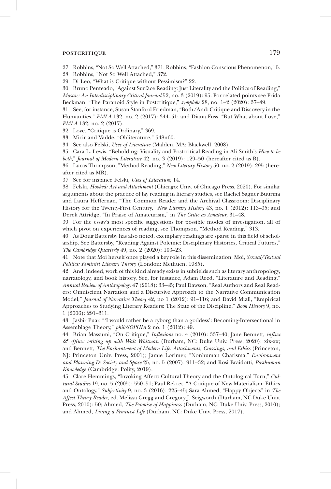27 Robbins, "Not So Well Attached," 371; Robbins, "Fashion Conscious Phenomenon," 5.

28 Robbins, "Not So Well Attached," 372.

29 Di Leo, "What is Critique without Pessimism?" 22.

30 Bruno Penteado, "Against Surface Reading: Just Literality and the Politics of Reading," *Mosaic: An Interdisciplinary Critical Journal* 52, no. 3 (2019): 95. For related points see Frida Beckman, "The Paranoid Style in Postcritique," *symploke* 28, no. 1–2 (2020): 37–49.

31 See, for instance, Susan Stanford Friedman, "Both/And: Critique and Discovery in the Humanities," *PMLA* 132, no. 2 (2017): 344–51; and Diana Fuss, "But What about Love," *PMLA* 132, no. 2 (2017).

32 Love, "Critique is Ordinary," 369.

33 Micir and Vadde, "Obliterature," 548n60.

34 See also Felski, *Uses of Literature* (Malden, MA: Blackwell, 2008).

35 Cara L. Lewis, "Beholding: Visuality and Postcritical Reading in Ali Smith's *How to be both*," *Journal of Modern Literature* 42, no. 3 (2019): 129–50 (hereafter cited as B).

36 Lucas Thompson, "Method Reading," *New Literary History* 50, no. 2 (2019): 295 (hereafter cited as MR).

37 See for instance Felski, *Uses of Literature*, 14.

38 Felski, *Hooked: Art and Attachment* (Chicago: Univ. of Chicago Press, 2020). For similar arguments about the practice of lay reading in literary studies, see Rachel Sagner Buurma and Laura Heffernan, "The Common Reader and the Archival Classroom: Disciplinary History for the Twenty-First Century," *New Literary History* 43, no. 1 (2012): 113–35; and Derek Attridge, "In Praise of Amateurism," in *The Critic as Amateur*, 31–48.

39 For the essay's most specific suggestions for possible modes of investigation, all of which pivot on experiences of reading, see Thompson, "Method Reading," 313.

40 As Doug Battersby has also noted, exemplary readings are sparse in this field of scholarship. See Battersby, "Reading Against Polemic: Disciplinary Histories, Critical Futures," *The Cambridge Quarterly* 49, no. 2 (2020): 103–23.

41 Note that Moi herself once played a key role in this dissemination: Moi, *Sexual/Textual Politics: Feminist Literary Theory* (London: Methuen, 1985).

42 And, indeed, work of this kind already exists in subfields such as literary anthropology, narratology, and book history. See, for instance, Adam Reed, "Literature and Reading," *Annual Review of Anthropology* 47 (2018): 33–45; Paul Dawson, "Real Authors and Real Readers: Omniscient Narration and a Discursive Approach to the Narrative Communication Model," *Journal of Narrative Theory* 42, no 1 (2012): 91–116; and David Miall, "Empirical Approaches to Studying Literary Readers: The State of the Discipline," *Book History* 9, no. 1 (2006): 291–311.

43 Jasbir Puar, "'I would rather be a cyborg than a goddess': Becoming-Intersectional in Assemblage Theory," *philoSOPHIA* 2 no. 1 (2012): 49.

44 Brian Massumi, "On Critique," *Inflexions* no. 4 (2010): 337–40; Jane Bennett, *influx & efflux: writing up with Walt Whitman* (Durham, NC: Duke Univ. Press, 2020): xix-xx; and Bennett, *The Enchantment of Modern Life: Attachments, Crossings, and Ethics* (Princeton, NJ: Princeton Univ. Press, 2001); Jamie Lorimer, "Nonhuman Charisma," *Environment and Planning D: Society and Space* 25, no. 5 (2007): 911–32; and Rosi Braidotti, *Posthuman Knowledge* (Cambridge: Polity, 2019).

45 Clare Hemmings, "Invoking Affect: Cultural Theory and the Ontological Turn," *Cultural Studies* 19, no. 5 (2005): 550–51; Paul Rekret, "A Critique of New Materialism: Ethics and Ontology," *Subjectivity* 9, no. 3 (2016): 225–45; Sara Ahmed, "Happy Objects" in *The Affect Theory Reader*, ed. Melissa Gregg and Gregory J. Seigworth (Durham, NC Duke Univ. Press, 2010): 50; Ahmed, *The Promise of Happiness* (Durham, NC: Duke Univ. Press, 2010); and Ahmed, *Living a Feminist Life* (Durham, NC: Duke Univ. Press, 2017).